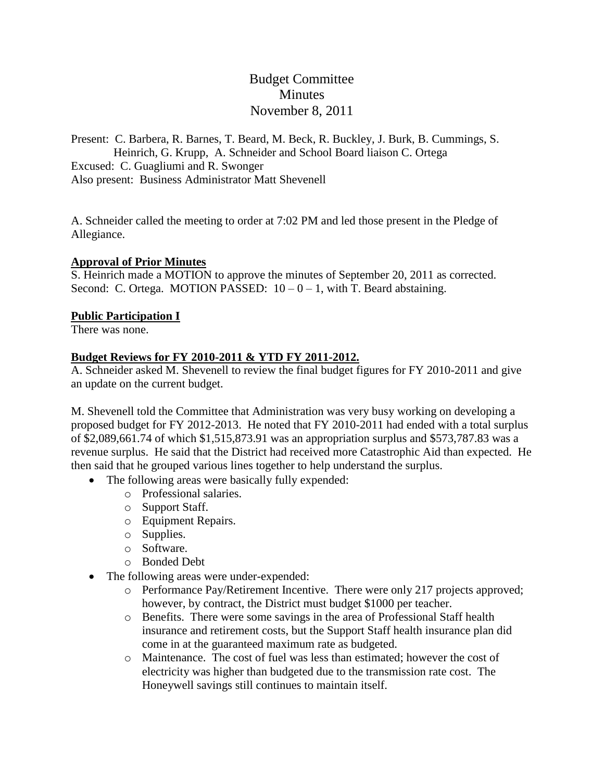# Budget Committee **Minutes** November 8, 2011

Present: C. Barbera, R. Barnes, T. Beard, M. Beck, R. Buckley, J. Burk, B. Cummings, S. Heinrich, G. Krupp, A. Schneider and School Board liaison C. Ortega Excused: C. Guagliumi and R. Swonger Also present: Business Administrator Matt Shevenell

A. Schneider called the meeting to order at 7:02 PM and led those present in the Pledge of Allegiance.

### **Approval of Prior Minutes**

S. Heinrich made a MOTION to approve the minutes of September 20, 2011 as corrected. Second: C. Ortega. MOTION PASSED:  $10 - 0 - 1$ , with T. Beard abstaining.

### **Public Participation I**

There was none.

### **Budget Reviews for FY 2010-2011 & YTD FY 2011-2012.**

A. Schneider asked M. Shevenell to review the final budget figures for FY 2010-2011 and give an update on the current budget.

M. Shevenell told the Committee that Administration was very busy working on developing a proposed budget for FY 2012-2013. He noted that FY 2010-2011 had ended with a total surplus of \$2,089,661.74 of which \$1,515,873.91 was an appropriation surplus and \$573,787.83 was a revenue surplus. He said that the District had received more Catastrophic Aid than expected. He then said that he grouped various lines together to help understand the surplus.

- The following areas were basically fully expended:
	- o Professional salaries.
	- o Support Staff.
	- o Equipment Repairs.
	- o Supplies.
	- o Software.
	- o Bonded Debt
- The following areas were under-expended:
	- o Performance Pay/Retirement Incentive. There were only 217 projects approved; however, by contract, the District must budget \$1000 per teacher.
	- o Benefits. There were some savings in the area of Professional Staff health insurance and retirement costs, but the Support Staff health insurance plan did come in at the guaranteed maximum rate as budgeted.
	- o Maintenance. The cost of fuel was less than estimated; however the cost of electricity was higher than budgeted due to the transmission rate cost. The Honeywell savings still continues to maintain itself.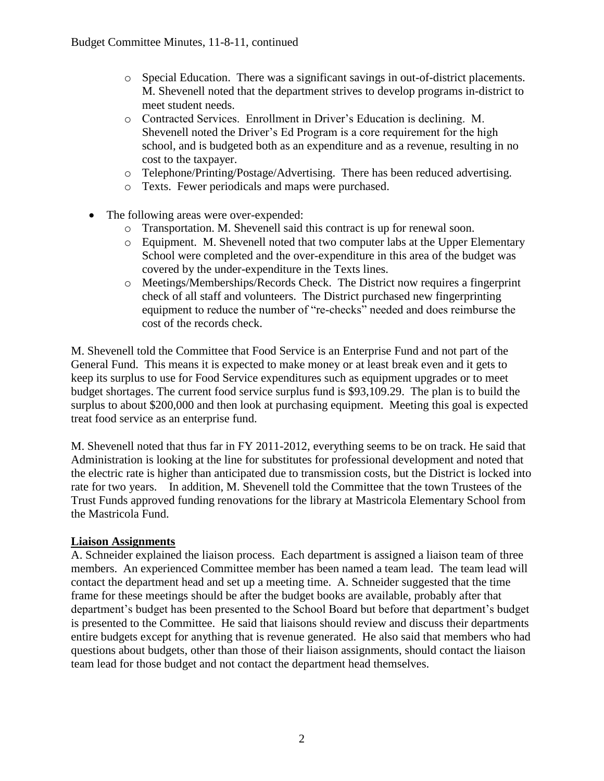- o Special Education. There was a significant savings in out-of-district placements. M. Shevenell noted that the department strives to develop programs in-district to meet student needs.
- o Contracted Services. Enrollment in Driver's Education is declining. M. Shevenell noted the Driver's Ed Program is a core requirement for the high school, and is budgeted both as an expenditure and as a revenue, resulting in no cost to the taxpayer.
- o Telephone/Printing/Postage/Advertising. There has been reduced advertising.
- o Texts. Fewer periodicals and maps were purchased.
- The following areas were over-expended:
	- o Transportation. M. Shevenell said this contract is up for renewal soon.
	- o Equipment. M. Shevenell noted that two computer labs at the Upper Elementary School were completed and the over-expenditure in this area of the budget was covered by the under-expenditure in the Texts lines.
	- o Meetings/Memberships/Records Check. The District now requires a fingerprint check of all staff and volunteers. The District purchased new fingerprinting equipment to reduce the number of "re-checks" needed and does reimburse the cost of the records check.

M. Shevenell told the Committee that Food Service is an Enterprise Fund and not part of the General Fund. This means it is expected to make money or at least break even and it gets to keep its surplus to use for Food Service expenditures such as equipment upgrades or to meet budget shortages. The current food service surplus fund is \$93,109.29. The plan is to build the surplus to about \$200,000 and then look at purchasing equipment. Meeting this goal is expected treat food service as an enterprise fund.

M. Shevenell noted that thus far in FY 2011-2012, everything seems to be on track. He said that Administration is looking at the line for substitutes for professional development and noted that the electric rate is higher than anticipated due to transmission costs, but the District is locked into rate for two years. In addition, M. Shevenell told the Committee that the town Trustees of the Trust Funds approved funding renovations for the library at Mastricola Elementary School from the Mastricola Fund.

### **Liaison Assignments**

A. Schneider explained the liaison process. Each department is assigned a liaison team of three members. An experienced Committee member has been named a team lead. The team lead will contact the department head and set up a meeting time. A. Schneider suggested that the time frame for these meetings should be after the budget books are available, probably after that department's budget has been presented to the School Board but before that department's budget is presented to the Committee. He said that liaisons should review and discuss their departments entire budgets except for anything that is revenue generated. He also said that members who had questions about budgets, other than those of their liaison assignments, should contact the liaison team lead for those budget and not contact the department head themselves.